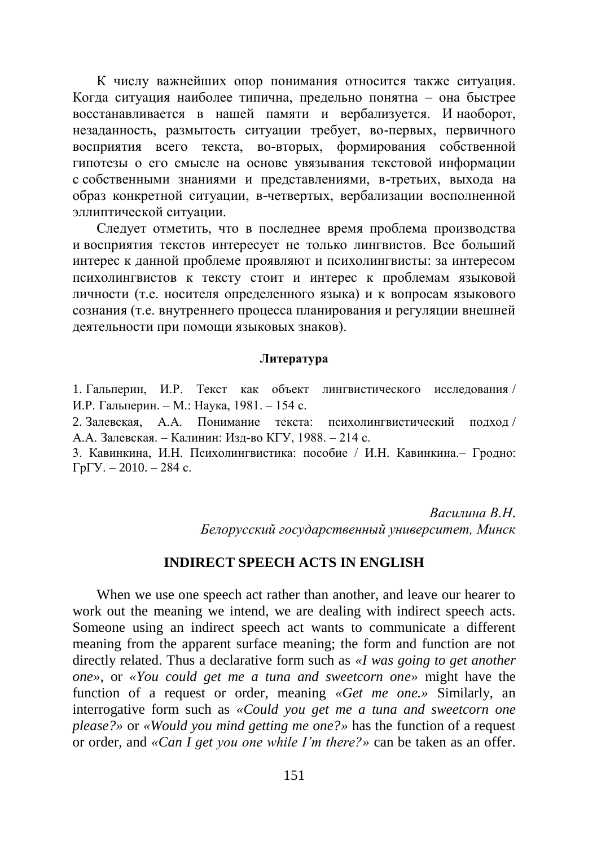К числу важнейших опор понимания относится также ситуация. Когда ситуация наиболее типична, предельно понятна – она быстрее восстанавливается в нашей памяти и вербализуется. И наоборот, незаданность, размытость ситуации требует, во-первых, первичного восприятия всего текста, во-вторых, формирования собственной гипотезы о его смысле на основе увязывания текстовой информации с собственными знаниями и представлениями, в-третьих, выхода на образ конкретной ситуации, в-четвертых, вербализации восполненной эллиптической ситуации.

Следует отметить, что в последнее время проблема производства и восприятия текстов интересует не только лингвистов. Все больший интерес к данной проблеме проявляют и психолингвисты: за интересом психолингвистов к тексту стоит и интерес к проблемам языковой личности (т.е. носителя определенного языка) и к вопросам языкового сознания (т.е. внутреннего процесса планирования и регуляции внешней деятельности при помощи языковых знаков).

## **Литература**

1. Гальперин, И.Р. Текст как объект лингвистического исследования / И.Р. Гальперин. – М.: Наука, 1981. – 154 с.

2. Залевская, А.А. Понимание текста: психолингвистический подход / А.А. Залевская. – Калинин: Изд-во КГУ, 1988. – 214 с.

3. Кавинкина, И.Н. Психолингвистика: пособие / И.Н. Кавинкина.– Гродно:  $\Gamma p \Gamma Y$ . – 2010. – 284 с.

> *Василина В.Н. Белорусский государственный университет, Минск*

## **INDIRECT SPEECH ACTS IN ENGLISH**

When we use one speech act rather than another, and leave our hearer to work out the meaning we intend, we are dealing with indirect speech acts. Someone using an indirect speech act wants to communicate a different meaning from the apparent surface meaning; the form and function are not directly related. Thus a declarative form such as *«I was going to get another one»*, or *«You could get me a tuna and sweetcorn one»* might have the function of a request or order, meaning *«Get me one.»* Similarly, an interrogative form such as *«Could you get me a tuna and sweetcorn one please?»* or *«Would you mind getting me one?»* has the function of a request or order, and *«Can I get you one while I'm there?»* can be taken as an offer.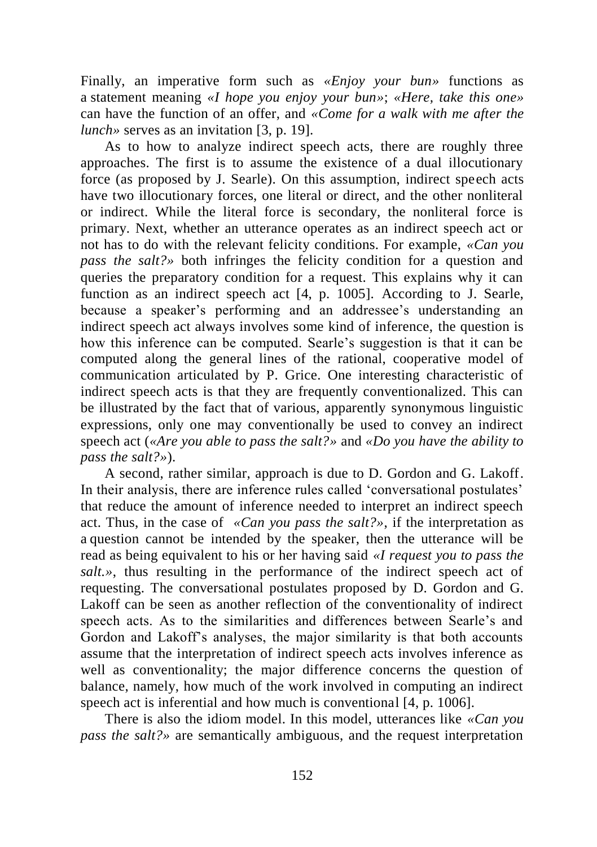Finally, an imperative form such as *«Enjoy your bun»* functions as a statement meaning *«I hope you enjoy your bun»*; *«Here, take this one»* can have the function of an offer, and *«Come for a walk with me after the lunch»* serves as an invitation [3, p. 19].

As to how to analyze indirect speech acts, there are roughly three approaches. The first is to assume the existence of a dual illocutionary force (as proposed by J. Searle). On this assumption, indirect speech acts have two illocutionary forces, one literal or direct, and the other nonliteral or indirect. While the literal force is secondary, the nonliteral force is primary. Next, whether an utterance operates as an indirect speech act or not has to do with the relevant felicity conditions. For example, *«Can you pass the salt?»* both infringes the felicity condition for a question and queries the preparatory condition for a request. This explains why it can function as an indirect speech act [4, p. 1005]. According to J. Searle, because a speaker's performing and an addressee's understanding an indirect speech act always involves some kind of inference, the question is how this inference can be computed. Searle's suggestion is that it can be computed along the general lines of the rational, cooperative model of communication articulated by P. Grice. One interesting characteristic of indirect speech acts is that they are frequently conventionalized. This can be illustrated by the fact that of various, apparently synonymous linguistic expressions, only one may conventionally be used to convey an indirect speech act (*«Are you able to pass the salt?»* and *«Do you have the ability to pass the salt?»*).

A second, rather similar, approach is due to D. Gordon and G. Lakoff. In their analysis, there are inference rules called 'conversational postulates' that reduce the amount of inference needed to interpret an indirect speech act. Thus, in the case of *«Can you pass the salt?»*, if the interpretation as a question cannot be intended by the speaker, then the utterance will be read as being equivalent to his or her having said *«I request you to pass the salt.»*, thus resulting in the performance of the indirect speech act of requesting. The conversational postulates proposed by D. Gordon and G. Lakoff can be seen as another reflection of the conventionality of indirect speech acts. As to the similarities and differences between Searle's and Gordon and Lakoff's analyses, the major similarity is that both accounts assume that the interpretation of indirect speech acts involves inference as well as conventionality; the major difference concerns the question of balance, namely, how much of the work involved in computing an indirect speech act is inferential and how much is conventional [4, p. 1006].

There is also the idiom model. In this model, utterances like *«Can you pass the salt?»* are semantically ambiguous, and the request interpretation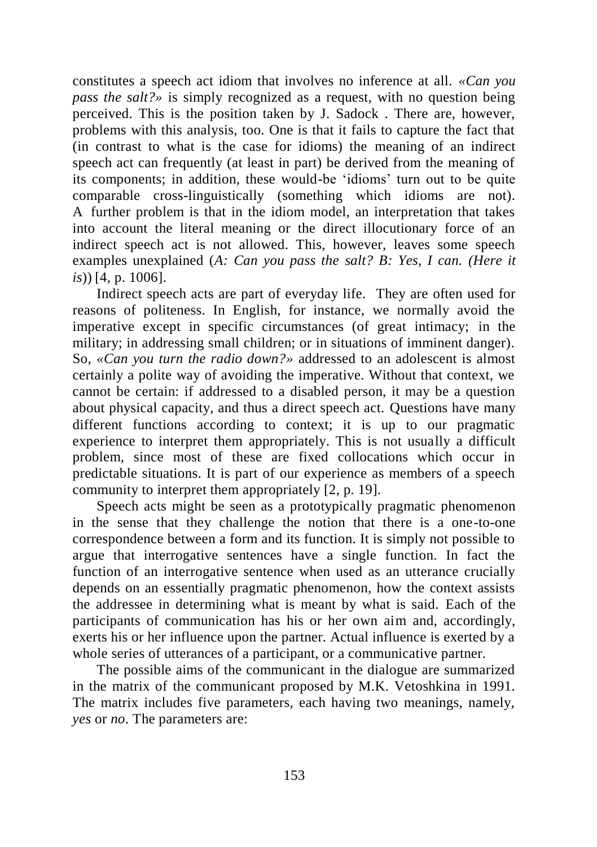constitutes a speech act idiom that involves no inference at all. *«Can you pass the salt?»* is simply recognized as a request, with no question being perceived. This is the position taken by J. Sadock . There are, however, problems with this analysis, too. One is that it fails to capture the fact that (in contrast to what is the case for idioms) the meaning of an indirect speech act can frequently (at least in part) be derived from the meaning of its components; in addition, these would-be 'idioms' turn out to be quite comparable cross-linguistically (something which idioms are not). A further problem is that in the idiom model, an interpretation that takes into account the literal meaning or the direct illocutionary force of an indirect speech act is not allowed. This, however, leaves some speech examples unexplained (*A: Can you pass the salt? B: Yes, I can. (Here it is*)) [4, p. 1006].

Indirect speech acts are part of everyday life. They are often used for reasons of politeness. In English, for instance, we normally avoid the imperative except in specific circumstances (of great intimacy; in the military; in addressing small children; or in situations of imminent danger). So, *«Can you turn the radio down?»* addressed to an adolescent is almost certainly a polite way of avoiding the imperative. Without that context, we cannot be certain: if addressed to a disabled person, it may be a question about physical capacity, and thus a direct speech act. Questions have many different functions according to context; it is up to our pragmatic experience to interpret them appropriately. This is not usually a difficult problem, since most of these are fixed collocations which occur in predictable situations. It is part of our experience as members of a speech community to interpret them appropriately [2, p. 19].

Speech acts might be seen as a prototypically pragmatic phenomenon in the sense that they challenge the notion that there is a one-to-one correspondence between a form and its function. It is simply not possible to argue that interrogative sentences have a single function. In fact the function of an interrogative sentence when used as an utterance crucially depends on an essentially pragmatic phenomenon, how the context assists the addressee in determining what is meant by what is said. Each of the participants of communication has his or her own aim and, accordingly, exerts his or her influence upon the partner. Actual influence is exerted by a whole series of utterances of a participant, or a communicative partner.

The possible aims of the communicant in the dialogue are summarized in the matrix of the communicant proposed by M.K. Vetoshkina in 1991. The matrix includes five parameters, each having two meanings, namely, *yes* or *no*. The parameters are: